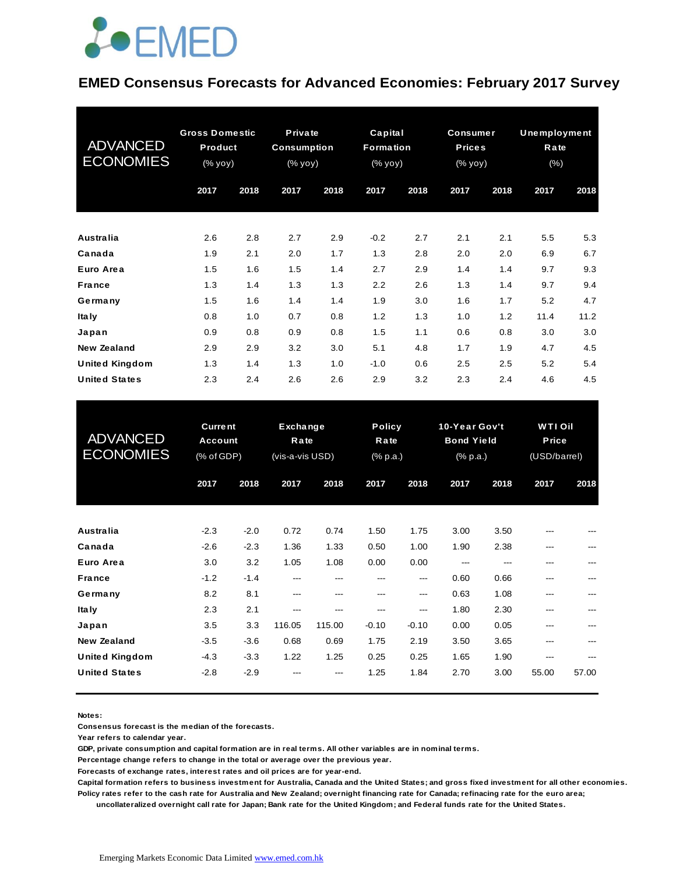#### **EMED Consensus Forecasts for Advanced Economies: February 2017 Survey**

| <b>ADVANCED</b><br><b>ECONOMIES</b> | <b>Gross Domestic</b><br>Product<br>(% yoy) |      | Private<br><b>Consumption</b><br>(% yoy) |      | Capital<br>Formation<br>(% yoy) |      | <b>Consumer</b><br><b>Prices</b><br>(% yoy) |      | Unemployment<br>Rate<br>$(\% )$ |      |
|-------------------------------------|---------------------------------------------|------|------------------------------------------|------|---------------------------------|------|---------------------------------------------|------|---------------------------------|------|
|                                     | 2017                                        | 2018 | 2017                                     | 2018 | 2017                            | 2018 | 2017                                        | 2018 | 2017                            | 2018 |
| <b>Australia</b>                    | 2.6                                         | 2.8  | 2.7                                      | 2.9  | $-0.2$                          | 2.7  | 2.1                                         | 2.1  | 5.5                             | 5.3  |
| Canada                              | 1.9                                         | 2.1  | 2.0                                      | 1.7  | 1.3                             | 2.8  | 2.0                                         | 2.0  | 6.9                             | 6.7  |
| Euro Area                           | 1.5                                         | 1.6  | 1.5                                      | 1.4  | 2.7                             | 2.9  | 1.4                                         | 1.4  | 9.7                             | 9.3  |
| <b>France</b>                       | 1.3                                         | 1.4  | 1.3                                      | 1.3  | 2.2                             | 2.6  | 1.3                                         | 1.4  | 9.7                             | 9.4  |
| Germany                             | 1.5                                         | 1.6  | 1.4                                      | 1.4  | 1.9                             | 3.0  | 1.6                                         | 1.7  | 5.2                             | 4.7  |
| <b>Italy</b>                        | 0.8                                         | 1.0  | 0.7                                      | 0.8  | 1.2                             | 1.3  | 1.0                                         | 1.2  | 11.4                            | 11.2 |
| Japan                               | 0.9                                         | 0.8  | 0.9                                      | 0.8  | 1.5                             | 1.1  | 0.6                                         | 0.8  | 3.0                             | 3.0  |
| <b>New Zealand</b>                  | 2.9                                         | 2.9  | 3.2                                      | 3.0  | 5.1                             | 4.8  | 1.7                                         | 1.9  | 4.7                             | 4.5  |
| <b>United Kingdom</b>               | 1.3                                         | 1.4  | 1.3                                      | 1.0  | $-1.0$                          | 0.6  | 2.5                                         | 2.5  | 5.2                             | 5.4  |
| <b>United States</b>                | 2.3                                         | 2.4  | 2.6                                      | 2.6  | 2.9                             | 3.2  | 2.3                                         | 2.4  | 4.6                             | 4.5  |

| <b>United States</b>                          | 2.3                                            | 2.4                     | 2.6                                 | 2.6                 | 2.9                               | 3.2                   | 2.3                                            | 2.4                 | 4.6                                     | 4.5        |
|-----------------------------------------------|------------------------------------------------|-------------------------|-------------------------------------|---------------------|-----------------------------------|-----------------------|------------------------------------------------|---------------------|-----------------------------------------|------------|
| <b>ADVANCED</b><br><b>ECONOMIES</b>           | <b>Current</b><br><b>Account</b><br>(% of GDP) |                         | Exchange<br>Rate<br>(vis-a-vis USD) |                     | <b>Policy</b><br>Rate<br>(% p.a.) |                       | 10-Year Gov't<br><b>Bond Yield</b><br>(% p.a.) |                     | <b>WTI Oil</b><br>Price<br>(USD/barrel) |            |
|                                               | 2017                                           | 2018                    | 2017                                | 2018                | 2017                              | 2018                  | 2017                                           | 2018                | 2017                                    | 2018       |
| Australia                                     | $-2.3$                                         | $-2.0$                  | 0.72                                | 0.74                | 1.50                              | 1.75                  | 3.00                                           | 3.50                |                                         |            |
| Canada<br>Euro Area<br><b>France</b>          | $-2.6$<br>3.0<br>$-1.2$                        | $-2.3$<br>3.2<br>$-1.4$ | 1.36<br>1.05<br>$\overline{a}$      | 1.33<br>1.08<br>--- | 0.50<br>0.00<br>---               | 1.00<br>0.00<br>$---$ | 1.90<br>---<br>0.60                            | 2.38<br>---<br>0.66 | ---<br>---<br>---                       |            |
| Germany<br><b>Italy</b>                       | 8.2<br>2.3                                     | 8.1<br>2.1              | ---<br>---                          | ---<br>---          | ---<br>---                        | ---<br>---            | 0.63<br>1.80                                   | 1.08<br>2.30        | ---<br>---                              | ---<br>--- |
| Japan<br><b>New Zealand</b>                   | 3.5<br>$-3.5$                                  | 3.3<br>$-3.6$           | 116.05<br>0.68                      | 115.00<br>0.69      | $-0.10$<br>1.75                   | $-0.10$<br>2.19       | 0.00<br>3.50                                   | 0.05<br>3.65        | ---<br>---                              |            |
| <b>United Kingdom</b><br><b>United States</b> | $-4.3$<br>$-2.8$                               | $-3.3$<br>$-2.9$        | 1.22                                | 1.25                | 0.25<br>1.25                      | 0.25<br>1.84          | 1.65<br>2.70                                   | 1.90<br>3.00        | ---<br>55.00                            | 57.00      |

**Notes:** 

**Consensus forecast is the median of the forecasts.**

**Year refers to calendar year.**

**GDP, private consumption and capital formation are in real terms. All other variables are in nominal terms.**

**Percentage change refers to change in the total or average over the previous year.**

**Forecasts of exchange rates, interest rates and oil prices are for year-end.**

**Capital formation refers to business investment for Australia, Canada and the United States; and gross fixed investment for all other economies. Policy rates refer to the cash rate for Australia and New Zealand; overnight financing rate for Canada; refinacing rate for the euro area; uncollateralized overnight call rate for Japan; Bank rate for the United Kingdom; and Federal funds rate for the United States.**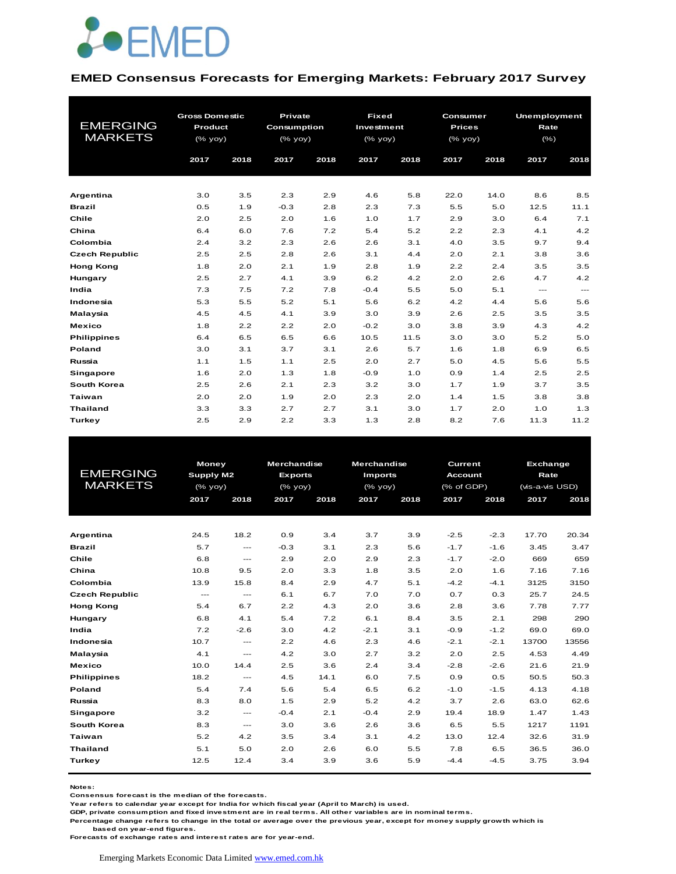

#### **EMED Consensus Forecasts for Emerging Markets: February 2017 Survey**

| <b>EMERGING</b><br><b>MARKETS</b> | <b>Gross Domestic</b><br>Product<br>(% yoy)<br>2017 | 2018 | Private<br><b>Consumption</b><br>(% yoy)<br>2017 | 2018 | <b>Fixed</b><br>Investment<br>(% yoy)<br>2017 | 2018 | Consumer<br><b>Prices</b><br>(% yoy)<br>2017 | 2018 | <b>Unemployment</b><br>Rate<br>$(\% )$<br>2017 | 2018     |
|-----------------------------------|-----------------------------------------------------|------|--------------------------------------------------|------|-----------------------------------------------|------|----------------------------------------------|------|------------------------------------------------|----------|
| Argentina                         | 3.0                                                 | 3.5  | 2.3                                              | 2.9  | 4.6                                           | 5.8  | 22.0                                         | 14.0 | 8.6                                            | 8.5      |
| <b>Brazil</b>                     | 0.5                                                 | 1.9  | $-0.3$                                           | 2.8  | 2.3                                           | 7.3  | 5.5                                          | 5.0  | 12.5                                           | 11.1     |
| Chile                             | 2.0                                                 | 2.5  | 2.0                                              | 1.6  | 1.0                                           | 1.7  | 2.9                                          | 3.0  | 6.4                                            | 7.1      |
| China                             | 6.4                                                 | 6.0  | 7.6                                              | 7.2  | 5.4                                           | 5.2  | 2.2                                          | 2.3  | 4.1                                            | 4.2      |
| Colombia                          | 2.4                                                 | 3.2  | 2.3                                              | 2.6  | 2.6                                           | 3.1  | 4.0                                          | 3.5  | 9.7                                            | 9.4      |
| <b>Czech Republic</b>             | 2.5                                                 | 2.5  | 2.8                                              | 2.6  | 3.1                                           | 4.4  | 2.0                                          | 2.1  | 3.8                                            | 3.6      |
| <b>Hong Kong</b>                  | 1.8                                                 | 2.0  | 2.1                                              | 1.9  | 2.8                                           | 1.9  | 2.2                                          | 2.4  | 3.5                                            | 3.5      |
| Hungary                           | 2.5                                                 | 2.7  | 4.1                                              | 3.9  | 6.2                                           | 4.2  | 2.0                                          | 2.6  | 4.7                                            | 4.2      |
| India                             | 7.3                                                 | 7.5  | 7.2                                              | 7.8  | $-0.4$                                        | 5.5  | 5.0                                          | 5.1  | $\qquad \qquad \cdots$                         | $\cdots$ |
| Indonesia                         | 5.3                                                 | 5.5  | 5.2                                              | 5.1  | 5.6                                           | 6.2  | 4.2                                          | 4.4  | 5.6                                            | 5.6      |
| Malaysia                          | 4.5                                                 | 4.5  | 4.1                                              | 3.9  | 3.0                                           | 3.9  | 2.6                                          | 2.5  | 3.5                                            | 3.5      |
| <b>Mexico</b>                     | 1.8                                                 | 2.2  | 2.2                                              | 2.0  | $-0.2$                                        | 3.0  | 3.8                                          | 3.9  | 4.3                                            | 4.2      |
| <b>Philippines</b>                | 6.4                                                 | 6.5  | 6.5                                              | 6.6  | 10.5                                          | 11.5 | 3.0                                          | 3.0  | 5.2                                            | 5.0      |
| Poland                            | 3.0                                                 | 3.1  | 3.7                                              | 3.1  | 2.6                                           | 5.7  | 1.6                                          | 1.8  | 6.9                                            | 6.5      |
| Russia                            | 1.1                                                 | 1.5  | 1.1                                              | 2.5  | 2.0                                           | 2.7  | 5.0                                          | 4.5  | 5.6                                            | 5.5      |
| Singapore                         | 1.6                                                 | 2.0  | 1.3                                              | 1.8  | $-0.9$                                        | 1.0  | 0.9                                          | 1.4  | 2.5                                            | 2.5      |
| South Korea                       | 2.5                                                 | 2.6  | 2.1                                              | 2.3  | 3.2                                           | 3.0  | 1.7                                          | 1.9  | 3.7                                            | 3.5      |
| <b>Taiwan</b>                     | 2.0                                                 | 2.0  | 1.9                                              | 2.0  | 2.3                                           | 2.0  | 1.4                                          | 1.5  | 3.8                                            | 3.8      |
| <b>Thailand</b>                   | 3.3                                                 | 3.3  | 2.7                                              | 2.7  | 3.1                                           | 3.0  | 1.7                                          | 2.0  | 1.0                                            | 1.3      |
| <b>Turkey</b>                     | 2.5                                                 | 2.9  | 2.2                                              | 3.3  | 1.3                                           | 2.8  | 8.2                                          | 7.6  | 11.3                                           | 11.2     |

|                       | <b>Money</b> |                        | <b>Merchandise</b> |      | <b>Merchandise</b> |      | <b>Current</b> |        | Exchange        |       |
|-----------------------|--------------|------------------------|--------------------|------|--------------------|------|----------------|--------|-----------------|-------|
| <b>EMERGING</b>       | Supply M2    |                        | <b>Exports</b>     |      | <b>Imports</b>     |      | <b>Account</b> |        | Rate            |       |
| <b>MARKETS</b>        | (% yoy)      |                        | $(%$ (% yoy)       |      | $(%$ (% yoy)       |      | (% of GDP)     |        | (vis-a-vis USD) |       |
|                       | 2017         | 2018                   | 2017               | 2018 | 2017               | 2018 | 2017           | 2018   | 2017            | 2018  |
|                       |              |                        |                    |      |                    |      |                |        |                 |       |
|                       |              |                        |                    |      |                    |      |                |        |                 |       |
| Argentina             | 24.5         | 18.2                   | 0.9                | 3.4  | 3.7                | 3.9  | $-2.5$         | $-2.3$ | 17.70           | 20.34 |
| <b>Brazil</b>         | 5.7          | $\cdots$               | $-0.3$             | 3.1  | 2.3                | 5.6  | $-1.7$         | $-1.6$ | 3.45            | 3.47  |
| Chile                 | 6.8          | $\frac{1}{2}$          | 2.9                | 2.0  | 2.9                | 2.3  | $-1.7$         | $-2.0$ | 669             | 659   |
| China                 | 10.8         | 9.5                    | 2.0                | 3.3  | 1.8                | 3.5  | 2.0            | 1.6    | 7.16            | 7.16  |
| Colombia              | 13.9         | 15.8                   | 8.4                | 2.9  | 4.7                | 5.1  | $-4.2$         | $-4.1$ | 3125            | 3150  |
| <b>Czech Republic</b> | $- - -$      | $\cdots$               | 6.1                | 6.7  | 7.0                | 7.0  | 0.7            | 0.3    | 25.7            | 24.5  |
| <b>Hong Kong</b>      | 5.4          | 6.7                    | 2.2                | 4.3  | 2.0                | 3.6  | 2.8            | 3.6    | 7.78            | 7.77  |
| Hungary               | 6.8          | 4.1                    | 5.4                | 7.2  | 6.1                | 8.4  | 3.5            | 2.1    | 298             | 290   |
| India                 | 7.2          | $-2.6$                 | 3.0                | 4.2  | $-2.1$             | 3.1  | $-0.9$         | $-1.2$ | 69.0            | 69.0  |
| Indonesia             | 10.7         | $\cdots$               | 2.2                | 4.6  | 2.3                | 4.6  | $-2.1$         | $-2.1$ | 13700           | 13556 |
| Malaysia              | 4.1          | $\frac{1}{2}$          | 4.2                | 3.0  | 2.7                | 3.2  | 2.0            | 2.5    | 4.53            | 4.49  |
| <b>Mexico</b>         | 10.0         | 14.4                   | 2.5                | 3.6  | 2.4                | 3.4  | $-2.8$         | $-2.6$ | 21.6            | 21.9  |
| <b>Philippines</b>    | 18.2         | $\cdots$               | 4.5                | 14.1 | 6.0                | 7.5  | 0.9            | 0.5    | 50.5            | 50.3  |
| Poland                | 5.4          | 7.4                    | 5.6                | 5.4  | 6.5                | 6.2  | $-1.0$         | $-1.5$ | 4.13            | 4.18  |
| Russia                | 8.3          | 8.0                    | 1.5                | 2.9  | 5.2                | 4.2  | 3.7            | 2.6    | 63.0            | 62.6  |
| Singapore             | 3.2          | $\qquad \qquad \cdots$ | $-0.4$             | 2.1  | $-0.4$             | 2.9  | 19.4           | 18.9   | 1.47            | 1.43  |
| South Korea           | 8.3          | $\cdots$               | 3.0                | 3.6  | 2.6                | 3.6  | 6.5            | 5.5    | 1217            | 1191  |
| Taiwan                | 5.2          | 4.2                    | 3.5                | 3.4  | 3.1                | 4.2  | 13.0           | 12.4   | 32.6            | 31.9  |
| <b>Thailand</b>       | 5.1          | 5.0                    | 2.0                | 2.6  | 6.0                | 5.5  | 7.8            | 6.5    | 36.5            | 36.0  |
| Turkey                | 12.5         | 12.4                   | 3.4                | 3.9  | 3.6                | 5.9  | $-4.4$         | $-4.5$ | 3.75            | 3.94  |
|                       |              |                        |                    |      |                    |      |                |        |                 |       |

**Notes:** 

**Consensus forecast is the median of the forecasts.**

**Year refers to calendar year except for India for which fiscal year (April to March) is used.**

**GDP, private consumption and fixed investment are in real terms. All other variables are in nominal terms.**

**Percentage change refers to change in the total or average over the previous year, except for money supply growth which is based on year-end figures.**

**Forecasts of exchange rates and interest rates are for year-end.**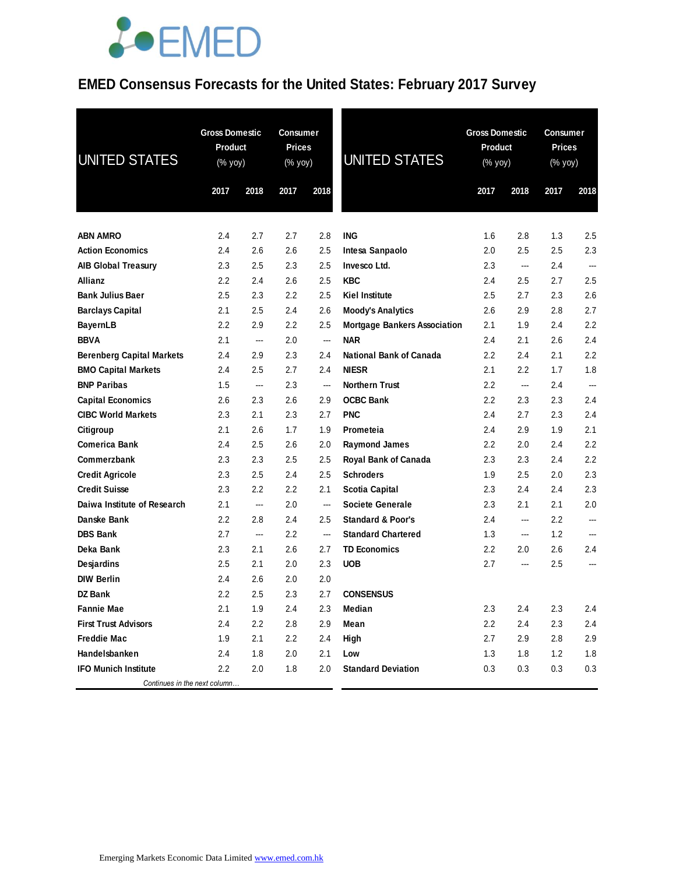### **EMED Consensus Forecasts for the United States: February 2017 Survey**

| UNITED STATES                                                  | <b>Gross Domestic</b><br><b>Product</b><br>(% yoy) |            | <b>Consumer</b><br><b>Prices</b><br>(% yoy) |                | <b>UNITED STATES</b>                              | <b>Gross Domestic</b><br><b>Product</b><br>(% yoy) |                | <b>Consumer</b><br><b>Prices</b><br>(% yoy) |                          |
|----------------------------------------------------------------|----------------------------------------------------|------------|---------------------------------------------|----------------|---------------------------------------------------|----------------------------------------------------|----------------|---------------------------------------------|--------------------------|
|                                                                | 2017                                               | 2018       | 2017                                        | 2018           |                                                   | 2017                                               | 2018           | 2017                                        | 2018                     |
|                                                                |                                                    |            |                                             |                |                                                   |                                                    |                |                                             |                          |
| <b>ABN AMRO</b>                                                | 2.4                                                | 2.7        | 2.7                                         | 2.8            | ING                                               | 1.6                                                | 2.8            | 1.3                                         | 2.5                      |
| <b>Action Economics</b>                                        | 2.4                                                | 2.6        | 2.6                                         | 2.5            | Intesa Sanpaolo                                   | 2.0                                                | 2.5            | 2.5                                         | 2.3                      |
| <b>AIB Global Treasury</b>                                     | 2.3                                                | 2.5        | 2.3                                         | 2.5            | Invesco Ltd.                                      | 2.3                                                | ---            | 2.4                                         | $\overline{\phantom{a}}$ |
| <b>Allianz</b>                                                 | 2.2                                                | 2.4        | 2.6                                         | 2.5            | <b>KBC</b>                                        | 2.4                                                | 2.5            | 2.7                                         | 2.5                      |
| <b>Bank Julius Baer</b>                                        | 2.5                                                | 2.3        | $2.2\phantom{0}$                            | 2.5            | <b>Kiel Institute</b>                             | 2.5                                                | 2.7            | 2.3                                         | 2.6                      |
| <b>Barclays Capital</b>                                        | 2.1                                                | 2.5        | 2.4                                         | 2.6            | <b>Moody's Analytics</b>                          | 2.6                                                | 2.9            | 2.8                                         | 2.7                      |
| <b>BayernLB</b><br><b>BBVA</b>                                 | 2.2<br>2.1                                         | 2.9        | 2.2<br>2.0                                  | $2.5\,$<br>--- | <b>Mortgage Bankers Association</b><br><b>NAR</b> | 2.1<br>2.4                                         | 1.9            | 2.4<br>2.6                                  | 2.2<br>2.4               |
|                                                                | 2.4                                                | ---        | 2.3                                         | 2.4            | <b>National Bank of Canada</b>                    | $2.2\,$                                            | 2.1<br>2.4     | 2.1                                         | 2.2                      |
| <b>Berenberg Capital Markets</b><br><b>BMO Capital Markets</b> | 2.4                                                | 2.9<br>2.5 | 2.7                                         | 2.4            | <b>NIESR</b>                                      | 2.1                                                | 2.2            | 1.7                                         | 1.8                      |
| <b>BNP Paribas</b>                                             | 1.5                                                | ---        | 2.3                                         | ---            | <b>Northern Trust</b>                             | 2.2                                                | $\overline{a}$ | 2.4                                         | $\overline{\phantom{a}}$ |
| <b>Capital Economics</b>                                       | 2.6                                                | 2.3        | 2.6                                         | 2.9            | <b>OCBC Bank</b>                                  | $2.2\,$                                            | 2.3            | 2.3                                         | 2.4                      |
| <b>CIBC World Markets</b>                                      | 2.3                                                | 2.1        | 2.3                                         | 2.7            | <b>PNC</b>                                        | 2.4                                                | 2.7            | 2.3                                         | 2.4                      |
| Citigroup                                                      | 2.1                                                | 2.6        | 1.7                                         | 1.9            | Prometeia                                         | 2.4                                                | 2.9            | 1.9                                         | 2.1                      |
| <b>Comerica Bank</b>                                           | 2.4                                                | 2.5        | 2.6                                         | 2.0            | <b>Raymond James</b>                              | $2.2\,$                                            | 2.0            | 2.4                                         | 2.2                      |
| Commerzbank                                                    | 2.3                                                | 2.3        | 2.5                                         | 2.5            | Royal Bank of Canada                              | 2.3                                                | 2.3            | 2.4                                         | 2.2                      |
| <b>Credit Agricole</b>                                         | 2.3                                                | 2.5        | 2.4                                         | 2.5            | <b>Schroders</b>                                  | 1.9                                                | 2.5            | 2.0                                         | 2.3                      |
| <b>Credit Suisse</b>                                           | 2.3                                                | 2.2        | 2.2                                         | 2.1            | Scotia Capital                                    | 2.3                                                | 2.4            | 2.4                                         | 2.3                      |
| Daiwa Institute of Research                                    | 2.1                                                | ---        | 2.0                                         | ---            | Societe Generale                                  | 2.3                                                | 2.1            | 2.1                                         | 2.0                      |
| Danske Bank                                                    | 2.2                                                | 2.8        | 2.4                                         | 2.5            | <b>Standard &amp; Poor's</b>                      | 2.4                                                | ---            | 2.2                                         | $---$                    |
| <b>DBS Bank</b>                                                | 2.7                                                | ---        | 2.2                                         | ---            | <b>Standard Chartered</b>                         | 1.3                                                | ---            | 1.2                                         | $\overline{\phantom{a}}$ |
| Deka Bank                                                      | 2.3                                                | 2.1        | 2.6                                         | 2.7            | <b>TD Economics</b>                               | 2.2                                                | 2.0            | 2.6                                         | 2.4                      |
| Desjardins                                                     | 2.5                                                | 2.1        | 2.0                                         | 2.3            | <b>UOB</b>                                        | 2.7                                                | $\overline{a}$ | 2.5                                         | ---                      |
| <b>DIW Berlin</b>                                              | 2.4                                                | 2.6        | 2.0                                         | 2.0            |                                                   |                                                    |                |                                             |                          |
| <b>DZ Bank</b>                                                 | 2.2                                                | 2.5        | 2.3                                         | 2.7            | <b>CONSENSUS</b>                                  |                                                    |                |                                             |                          |
| <b>Fannie Mae</b>                                              | 2.1                                                | 1.9        | 2.4                                         | 2.3            | Median                                            | 2.3                                                | 2.4            | 2.3                                         | 2.4                      |
| <b>First Trust Advisors</b>                                    | 2.4                                                | $2.2\,$    | 2.8                                         | 2.9            | Mean                                              | 2.2                                                | 2.4            | 2.3                                         | 2.4                      |
| <b>Freddie Mac</b>                                             | 1.9                                                | 2.1        | 2.2                                         | 2.4            | High                                              | 2.7                                                | 2.9            | 2.8                                         | 2.9                      |
| Handelsbanken                                                  | 2.4                                                | 1.8        | 2.0                                         | 2.1            | Low                                               | 1.3                                                | 1.8            | 1.2                                         | 1.8                      |
| <b>IFO Munich Institute</b>                                    | 2.2                                                | 2.0        | 1.8                                         | 2.0            | <b>Standard Deviation</b>                         | 0.3                                                | 0.3            | 0.3                                         | 0.3                      |
| Continues in the next column                                   |                                                    |            |                                             |                |                                                   |                                                    |                |                                             |                          |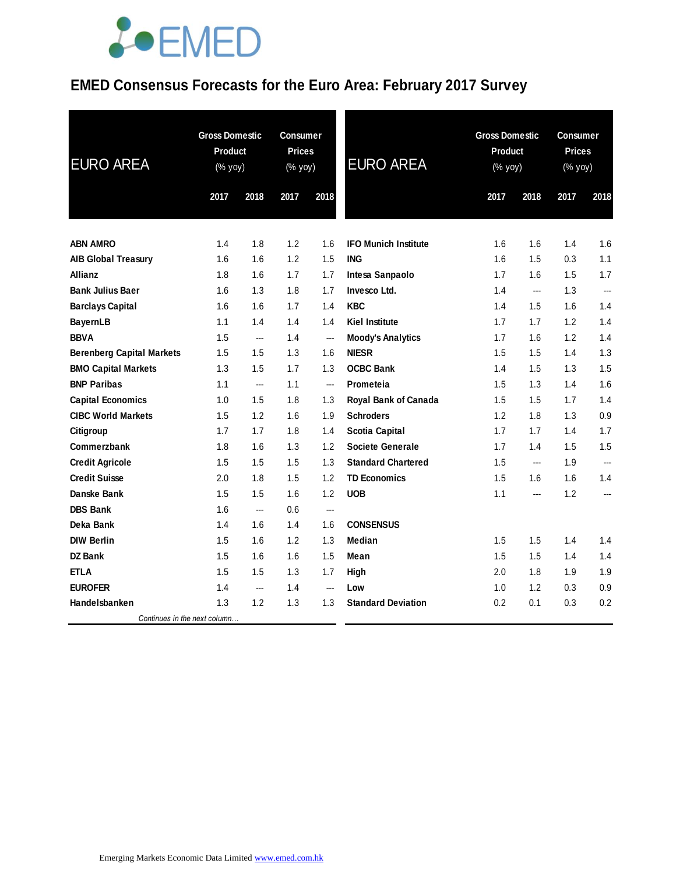### **EMED Consensus Forecasts for the Euro Area: February 2017 Survey**

| <b>EURO AREA</b>                 | <b>Gross Domestic</b><br><b>Product</b><br>(% yoy) |                | <b>Consumer</b><br><b>Prices</b><br>(% yoy) |                | <b>EURO AREA</b>            | <b>Gross Domestic</b><br><b>Product</b><br>(% yoy) |                | <b>Consumer</b><br><b>Prices</b><br>(% yoy) |                |
|----------------------------------|----------------------------------------------------|----------------|---------------------------------------------|----------------|-----------------------------|----------------------------------------------------|----------------|---------------------------------------------|----------------|
|                                  | 2017                                               | 2018           | 2017                                        | 2018           |                             | 2017                                               | 2018           | 2017                                        | 2018           |
|                                  |                                                    |                |                                             |                |                             |                                                    |                |                                             |                |
| <b>ABN AMRO</b>                  | 1.4                                                | 1.8            | 1.2                                         | 1.6            | <b>IFO Munich Institute</b> | 1.6                                                | 1.6            | 1.4                                         | 1.6            |
| <b>AIB Global Treasury</b>       | 1.6                                                | 1.6            | 1.2                                         | 1.5            | <b>ING</b>                  | 1.6                                                | 1.5            | 0.3                                         | 1.1            |
| <b>Allianz</b>                   | 1.8                                                | 1.6            | 1.7                                         | 1.7            | Intesa Sanpaolo             | 1.7                                                | 1.6            | 1.5                                         | 1.7            |
| <b>Bank Julius Baer</b>          | 1.6                                                | 1.3            | 1.8                                         | 1.7            | Invesco Ltd.                | 1.4                                                | $\overline{a}$ | 1.3                                         | $\overline{a}$ |
| <b>Barclays Capital</b>          | 1.6                                                | 1.6            | 1.7                                         | 1.4            | <b>KBC</b>                  | 1.4                                                | 1.5            | 1.6                                         | 1.4            |
| <b>BayernLB</b>                  | 1.1                                                | 1.4            | 1.4                                         | 1.4            | <b>Kiel Institute</b>       | 1.7                                                | 1.7            | 1.2                                         | 1.4            |
| <b>BBVA</b>                      | 1.5                                                | ---            | 1.4                                         | ---            | <b>Moody's Analytics</b>    | 1.7                                                | 1.6            | 1.2                                         | 1.4            |
| <b>Berenberg Capital Markets</b> | 1.5                                                | 1.5            | 1.3                                         | 1.6            | <b>NIESR</b>                | 1.5                                                | 1.5            | 1.4                                         | 1.3            |
| <b>BMO Capital Markets</b>       | 1.3                                                | 1.5            | 1.7                                         | 1.3            | <b>OCBC Bank</b>            | 1.4                                                | 1.5            | 1.3                                         | 1.5            |
| <b>BNP Paribas</b>               | 1.1                                                | ---            | 1.1                                         | ---            | Prometeia                   | 1.5                                                | 1.3            | 1.4                                         | 1.6            |
| <b>Capital Economics</b>         | 1.0                                                | 1.5            | 1.8                                         | 1.3            | Royal Bank of Canada        | 1.5                                                | 1.5            | 1.7                                         | 1.4            |
| <b>CIBC World Markets</b>        | 1.5                                                | 1.2            | 1.6                                         | 1.9            | <b>Schroders</b>            | 1.2                                                | 1.8            | 1.3                                         | 0.9            |
| Citigroup                        | 1.7                                                | 1.7            | 1.8                                         | 1.4            | <b>Scotia Capital</b>       | 1.7                                                | 1.7            | 1.4                                         | 1.7            |
| Commerzbank                      | 1.8                                                | 1.6            | 1.3                                         | 1.2            | <b>Societe Generale</b>     | 1.7                                                | 1.4            | 1.5                                         | 1.5            |
| <b>Credit Agricole</b>           | 1.5                                                | 1.5            | 1.5                                         | 1.3            | <b>Standard Chartered</b>   | 1.5                                                | ---            | 1.9                                         | $\overline{a}$ |
| <b>Credit Suisse</b>             | 2.0                                                | 1.8            | 1.5                                         | 1.2            | <b>TD Economics</b>         | 1.5                                                | 1.6            | 1.6                                         | 1.4            |
| Danske Bank                      | 1.5                                                | 1.5            | 1.6                                         | 1.2            | <b>UOB</b>                  | 1.1                                                | ---            | 1.2                                         | ---            |
| <b>DBS Bank</b>                  | 1.6                                                | ---            | 0.6                                         | ---            |                             |                                                    |                |                                             |                |
| Deka Bank                        | 1.4                                                | 1.6            | 1.4                                         | 1.6            | <b>CONSENSUS</b>            |                                                    |                |                                             |                |
| <b>DIW Berlin</b>                | 1.5                                                | 1.6            | 1.2                                         | 1.3            | Median                      | 1.5                                                | 1.5            | 1.4                                         | 1.4            |
| DZ Bank                          | 1.5                                                | 1.6            | 1.6                                         | 1.5            | Mean                        | 1.5                                                | 1.5            | 1.4                                         | 1.4            |
| <b>ETLA</b>                      | 1.5                                                | 1.5            | 1.3                                         | 1.7            | High                        | 2.0                                                | 1.8            | 1.9                                         | 1.9            |
| <b>EUROFER</b>                   | 1.4                                                | $\overline{a}$ | 1.4                                         | $\overline{a}$ | Low                         | 1.0                                                | 1.2            | 0.3                                         | 0.9            |
| Handelsbanken                    | 1.3                                                | 1.2            | 1.3                                         | 1.3            | <b>Standard Deviation</b>   | 0.2                                                | 0.1            | 0.3                                         | 0.2            |
| Continues in the next column     |                                                    |                |                                             |                |                             |                                                    |                |                                             |                |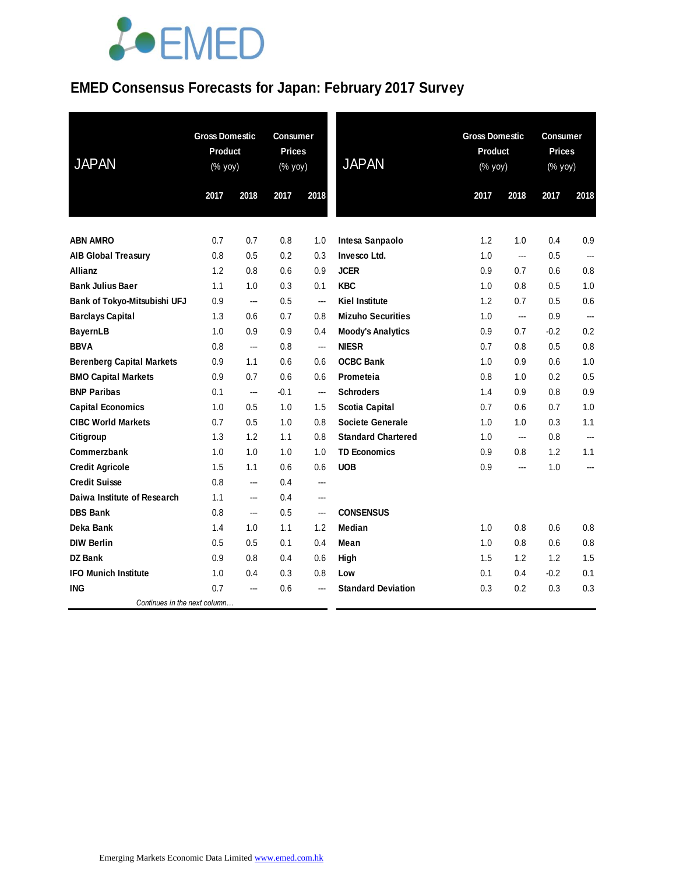### **EMED Consensus Forecasts for Japan: February 2017 Survey**

| <b>JAPAN</b>                     | <b>Gross Domestic</b><br>Product<br>(% yoy) |      | <b>Consumer</b><br><b>Prices</b><br>$(\%$ yoy) |                | <b>JAPAN</b>              | <b>Gross Domestic</b><br>Product<br>(% yoy) |                | <b>Consumer</b><br><b>Prices</b><br>(% yoy) |                          |
|----------------------------------|---------------------------------------------|------|------------------------------------------------|----------------|---------------------------|---------------------------------------------|----------------|---------------------------------------------|--------------------------|
|                                  | 2017                                        | 2018 | 2017                                           | 2018           |                           | 2017                                        | 2018           | 2017                                        | 2018                     |
|                                  |                                             |      |                                                |                |                           |                                             |                |                                             |                          |
| <b>ABN AMRO</b>                  | 0.7                                         | 0.7  | 0.8                                            | 1.0            | Intesa Sanpaolo           | 1.2                                         | 1.0            | 0.4                                         | 0.9                      |
| <b>AIB Global Treasury</b>       | 0.8                                         | 0.5  | 0.2                                            | 0.3            | Invesco Ltd.              | 1.0                                         | ---            | 0.5                                         | ---                      |
| Allianz                          | 1.2                                         | 0.8  | 0.6                                            | 0.9            | <b>JCER</b>               | 0.9                                         | 0.7            | 0.6                                         | 0.8                      |
| <b>Bank Julius Baer</b>          | 1.1                                         | 1.0  | 0.3                                            | 0.1            | <b>KBC</b>                | 1.0                                         | 0.8            | 0.5                                         | 1.0                      |
| Bank of Tokyo-Mitsubishi UFJ     | 0.9                                         | ---  | 0.5                                            | $\overline{a}$ | <b>Kiel Institute</b>     | 1.2                                         | 0.7            | 0.5                                         | 0.6                      |
| <b>Barclays Capital</b>          | 1.3                                         | 0.6  | 0.7                                            | 0.8            | <b>Mizuho Securities</b>  | 1.0                                         | $\overline{a}$ | 0.9                                         | ---                      |
| <b>BayernLB</b>                  | 1.0                                         | 0.9  | 0.9                                            | 0.4            | <b>Moody's Analytics</b>  | 0.9                                         | 0.7            | $-0.2$                                      | 0.2                      |
| <b>BBVA</b>                      | 0.8                                         | ---  | 0.8                                            | ---            | <b>NIESR</b>              | 0.7                                         | 0.8            | 0.5                                         | 0.8                      |
| <b>Berenberg Capital Markets</b> | 0.9                                         | 1.1  | 0.6                                            | 0.6            | <b>OCBC Bank</b>          | 1.0                                         | 0.9            | 0.6                                         | 1.0                      |
| <b>BMO Capital Markets</b>       | 0.9                                         | 0.7  | 0.6                                            | 0.6            | Prometeia                 | 0.8                                         | 1.0            | 0.2                                         | 0.5                      |
| <b>BNP Paribas</b>               | 0.1                                         | ---  | $-0.1$                                         | ---            | <b>Schroders</b>          | 1.4                                         | 0.9            | 0.8                                         | 0.9                      |
| <b>Capital Economics</b>         | 1.0                                         | 0.5  | 1.0                                            | 1.5            | <b>Scotia Capital</b>     | 0.7                                         | 0.6            | 0.7                                         | 1.0                      |
| <b>CIBC World Markets</b>        | 0.7                                         | 0.5  | 1.0                                            | 0.8            | <b>Societe Generale</b>   | 1.0                                         | 1.0            | 0.3                                         | 1.1                      |
| Citigroup                        | 1.3                                         | 1.2  | 1.1                                            | 0.8            | <b>Standard Chartered</b> | 1.0                                         | $\overline{a}$ | 0.8                                         | $\overline{\phantom{a}}$ |
| Commerzbank                      | 1.0                                         | 1.0  | 1.0                                            | 1.0            | <b>TD Economics</b>       | 0.9                                         | 0.8            | 1.2                                         | 1.1                      |
| <b>Credit Agricole</b>           | 1.5                                         | 1.1  | 0.6                                            | 0.6            | <b>UOB</b>                | 0.9                                         | $\overline{a}$ | 1.0                                         | $---$                    |
| <b>Credit Suisse</b>             | 0.8                                         | ---  | 0.4                                            | ---            |                           |                                             |                |                                             |                          |
| Daiwa Institute of Research      | 1.1                                         | ---  | 0.4                                            | ---            |                           |                                             |                |                                             |                          |
| <b>DBS Bank</b>                  | 0.8                                         | ---  | 0.5                                            | ---            | <b>CONSENSUS</b>          |                                             |                |                                             |                          |
| Deka Bank                        | 1.4                                         | 1.0  | 1.1                                            | 1.2            | Median                    | 1.0                                         | 0.8            | 0.6                                         | 0.8                      |
| <b>DIW Berlin</b>                | 0.5                                         | 0.5  | 0.1                                            | 0.4            | Mean                      | 1.0                                         | 0.8            | 0.6                                         | 0.8                      |
| <b>DZ Bank</b>                   | 0.9                                         | 0.8  | 0.4                                            | 0.6            | High                      | 1.5                                         | 1.2            | 1.2                                         | 1.5                      |
| <b>IFO Munich Institute</b>      | 1.0                                         | 0.4  | 0.3                                            | 0.8            | Low                       | 0.1                                         | 0.4            | $-0.2$                                      | 0.1                      |
| <b>ING</b>                       | 0.7                                         | ---  | 0.6                                            | ---            | <b>Standard Deviation</b> | 0.3                                         | 0.2            | 0.3                                         | 0.3                      |
| Continues in the next column     |                                             |      |                                                |                |                           |                                             |                |                                             |                          |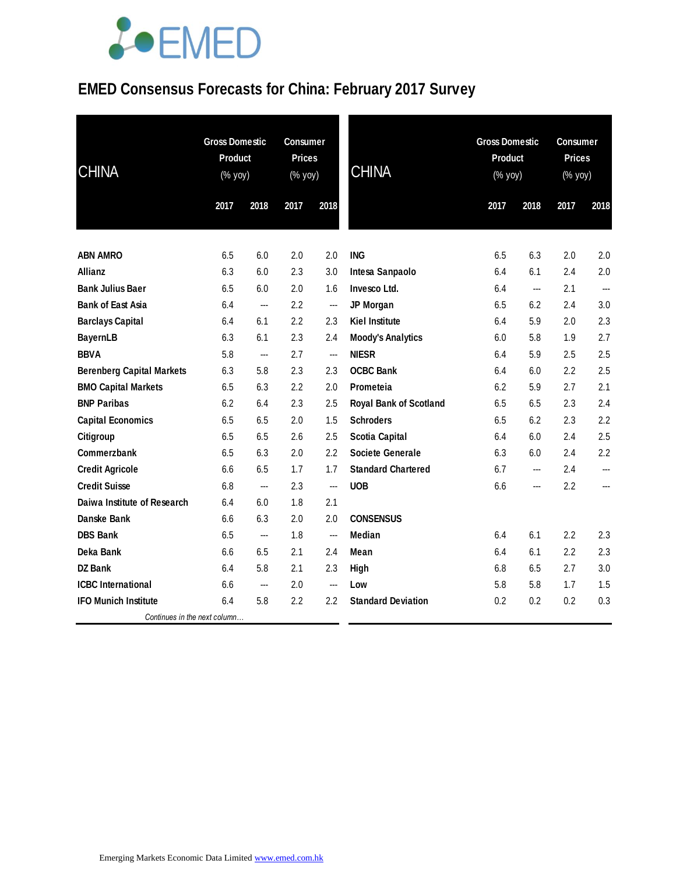### **EMED Consensus Forecasts for China: February 2017 Survey**

| <b>CHINA</b>                     | <b>Gross Domestic</b><br><b>Product</b><br>$(\%$ yoy) |                          | <b>Consumer</b><br><b>Prices</b><br>(% yoy) |      | <b>CHINA</b>                  | <b>Gross Domestic</b><br><b>Product</b><br>(% yoy) |                          | Consumer<br><b>Prices</b><br>(% yoy) |               |
|----------------------------------|-------------------------------------------------------|--------------------------|---------------------------------------------|------|-------------------------------|----------------------------------------------------|--------------------------|--------------------------------------|---------------|
|                                  | 2017                                                  | 2018                     | 2017                                        | 2018 |                               | 2017                                               | 2018                     | 2017                                 | 2018          |
| <b>ABN AMRO</b>                  | 6.5                                                   | 6.0                      | 2.0                                         | 2.0  | <b>ING</b>                    | 6.5                                                | 6.3                      | 2.0                                  | 2.0           |
| <b>Allianz</b>                   | 6.3                                                   | 6.0                      | 2.3                                         | 3.0  | Intesa Sanpaolo               | 6.4                                                | 6.1                      | 2.4                                  | 2.0           |
| <b>Bank Julius Baer</b>          | 6.5                                                   | 6.0                      | 2.0                                         | 1.6  | Invesco Ltd.                  | 6.4                                                | ---                      | 2.1                                  | $\frac{1}{2}$ |
| <b>Bank of East Asia</b>         | 6.4                                                   | ---                      | 2.2                                         | ---  | JP Morgan                     | 6.5                                                | 6.2                      | 2.4                                  | 3.0           |
| <b>Barclays Capital</b>          | 6.4                                                   | 6.1                      | 2.2                                         | 2.3  | <b>Kiel Institute</b>         | 6.4                                                | 5.9                      | 2.0                                  | 2.3           |
| <b>BayernLB</b>                  | 6.3                                                   | 6.1                      | 2.3                                         | 2.4  | <b>Moody's Analytics</b>      | 6.0                                                | 5.8                      | 1.9                                  | 2.7           |
| <b>BBVA</b>                      | 5.8                                                   | $\overline{a}$           | 2.7                                         | ---  | <b>NIESR</b>                  | 6.4                                                | 5.9                      | 2.5                                  | 2.5           |
| <b>Berenberg Capital Markets</b> | 6.3                                                   | 5.8                      | 2.3                                         | 2.3  | <b>OCBC Bank</b>              | 6.4                                                | 6.0                      | 2.2                                  | 2.5           |
| <b>BMO Capital Markets</b>       | 6.5                                                   | 6.3                      | 2.2                                         | 2.0  | Prometeia                     | 6.2                                                | 5.9                      | 2.7                                  | 2.1           |
| <b>BNP Paribas</b>               | 6.2                                                   | 6.4                      | 2.3                                         | 2.5  | <b>Royal Bank of Scotland</b> | 6.5                                                | 6.5                      | 2.3                                  | 2.4           |
| <b>Capital Economics</b>         | 6.5                                                   | 6.5                      | 2.0                                         | 1.5  | <b>Schroders</b>              | 6.5                                                | 6.2                      | 2.3                                  | 2.2           |
| Citigroup                        | 6.5                                                   | 6.5                      | 2.6                                         | 2.5  | <b>Scotia Capital</b>         | 6.4                                                | 6.0                      | 2.4                                  | 2.5           |
| Commerzbank                      | 6.5                                                   | 6.3                      | 2.0                                         | 2.2  | <b>Societe Generale</b>       | 6.3                                                | 6.0                      | 2.4                                  | 2.2           |
| <b>Credit Agricole</b>           | 6.6                                                   | 6.5                      | 1.7                                         | 1.7  | <b>Standard Chartered</b>     | 6.7                                                | $\hspace{0.05cm} \ldots$ | 2.4                                  | ---           |
| <b>Credit Suisse</b>             | 6.8                                                   | $\hspace{0.05cm} \ldots$ | 2.3                                         | ---  | <b>UOB</b>                    | 6.6                                                | ---                      | 2.2                                  | ---           |
| Daiwa Institute of Research      | 6.4                                                   | 6.0                      | 1.8                                         | 2.1  |                               |                                                    |                          |                                      |               |
| Danske Bank                      | 6.6                                                   | 6.3                      | 2.0                                         | 2.0  | <b>CONSENSUS</b>              |                                                    |                          |                                      |               |
| <b>DBS Bank</b>                  | 6.5                                                   | ---                      | 1.8                                         | ---  | Median                        | 6.4                                                | 6.1                      | 2.2                                  | 2.3           |
| Deka Bank                        | 6.6                                                   | 6.5                      | 2.1                                         | 2.4  | Mean                          | 6.4                                                | 6.1                      | 2.2                                  | 2.3           |
| <b>DZ Bank</b>                   | 6.4                                                   | 5.8                      | 2.1                                         | 2.3  | High                          | 6.8                                                | 6.5                      | 2.7                                  | 3.0           |
| <b>ICBC</b> International        | 6.6                                                   | ---                      | 2.0                                         | ---  | Low                           | 5.8                                                | 5.8                      | 1.7                                  | 1.5           |
| <b>IFO Munich Institute</b>      | 6.4                                                   | 5.8                      | 2.2                                         | 2.2  | <b>Standard Deviation</b>     | 0.2                                                | 0.2                      | 0.2                                  | 0.3           |
| Continues in the next column     |                                                       |                          |                                             |      |                               |                                                    |                          |                                      |               |